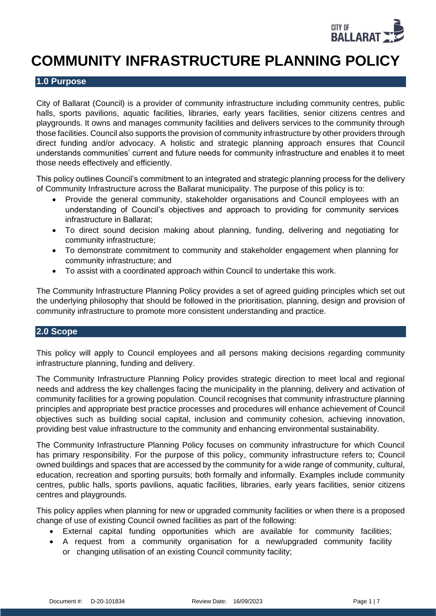

# **COMMUNITY INFRASTRUCTURE PLANNING POLICY**

## **1.0 Purpose**

City of Ballarat (Council) is a provider of community infrastructure including community centres, public halls, sports pavilions, aquatic facilities, libraries, early years facilities, senior citizens centres and playgrounds. It owns and manages community facilities and delivers services to the community through those facilities. Council also supports the provision of community infrastructure by other providers through direct funding and/or advocacy. A holistic and strategic planning approach ensures that Council understands communities' current and future needs for community infrastructure and enables it to meet those needs effectively and efficiently.

This policy outlines Council's commitment to an integrated and strategic planning process for the delivery of Community Infrastructure across the Ballarat municipality. The purpose of this policy is to:

- Provide the general community, stakeholder organisations and Council employees with an understanding of Council's objectives and approach to providing for community services infrastructure in Ballarat;
- To direct sound decision making about planning, funding, delivering and negotiating for community infrastructure;
- To demonstrate commitment to community and stakeholder engagement when planning for community infrastructure; and
- To assist with a coordinated approach within Council to undertake this work.

The Community Infrastructure Planning Policy provides a set of agreed guiding principles which set out the underlying philosophy that should be followed in the prioritisation, planning, design and provision of community infrastructure to promote more consistent understanding and practice.

# **2.0 Scope**

This policy will apply to Council employees and all persons making decisions regarding community infrastructure planning, funding and delivery.

The Community Infrastructure Planning Policy provides strategic direction to meet local and regional needs and address the key challenges facing the municipality in the planning, delivery and activation of community facilities for a growing population. Council recognises that community infrastructure planning principles and appropriate best practice processes and procedures will enhance achievement of Council objectives such as building social capital, inclusion and community cohesion, achieving innovation, providing best value infrastructure to the community and enhancing environmental sustainability.

The Community Infrastructure Planning Policy focuses on community infrastructure for which Council has primary responsibility. For the purpose of this policy, community infrastructure refers to; Council owned buildings and spaces that are accessed by the community for a wide range of community, cultural, education, recreation and sporting pursuits; both formally and informally. Examples include community centres, public halls, sports pavilions, aquatic facilities, libraries, early years facilities, senior citizens centres and playgrounds.

This policy applies when planning for new or upgraded community facilities or when there is a proposed change of use of existing Council owned facilities as part of the following:

- External capital funding opportunities which are available for community facilities;
- A request from a community organisation for a new/upgraded community facility or changing utilisation of an existing Council community facility;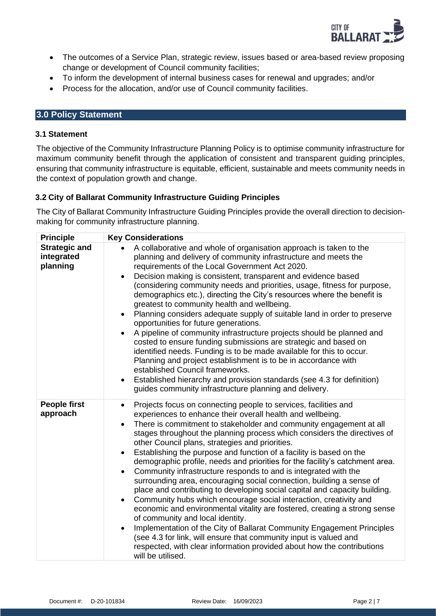

- The outcomes of a Service Plan, strategic review, issues based or area-based review proposing change or development of Council community facilities;
- To inform the development of internal business cases for renewal and upgrades; and/or
- Process for the allocation, and/or use of Council community facilities.

# **3.0 Policy Statement**

## **3.1 Statement**

The objective of the Community Infrastructure Planning Policy is to optimise community infrastructure for maximum community benefit through the application of consistent and transparent guiding principles, ensuring that community infrastructure is equitable, efficient, sustainable and meets community needs in the context of population growth and change.

# **3.2 City of Ballarat Community Infrastructure Guiding Principles**

The City of Ballarat Community Infrastructure Guiding Principles provide the overall direction to decisionmaking for community infrastructure planning.

| <b>Principle</b>                               | <b>Key Considerations</b>                                                                                                                                                                                                                                                                                                                                                                                                                                                                                                                                                                                                                                                                                                                                                                                                                                                                                                                                                                                                                                                                                                                                                                                                            |
|------------------------------------------------|--------------------------------------------------------------------------------------------------------------------------------------------------------------------------------------------------------------------------------------------------------------------------------------------------------------------------------------------------------------------------------------------------------------------------------------------------------------------------------------------------------------------------------------------------------------------------------------------------------------------------------------------------------------------------------------------------------------------------------------------------------------------------------------------------------------------------------------------------------------------------------------------------------------------------------------------------------------------------------------------------------------------------------------------------------------------------------------------------------------------------------------------------------------------------------------------------------------------------------------|
| <b>Strategic and</b><br>integrated<br>planning | A collaborative and whole of organisation approach is taken to the<br>$\bullet$<br>planning and delivery of community infrastructure and meets the<br>requirements of the Local Government Act 2020.<br>Decision making is consistent, transparent and evidence based<br>$\bullet$<br>(considering community needs and priorities, usage, fitness for purpose,<br>demographics etc.), directing the City's resources where the benefit is<br>greatest to community health and wellbeing.<br>Planning considers adequate supply of suitable land in order to preserve<br>$\bullet$<br>opportunities for future generations.<br>A pipeline of community infrastructure projects should be planned and<br>costed to ensure funding submissions are strategic and based on<br>identified needs. Funding is to be made available for this to occur.<br>Planning and project establishment is to be in accordance with<br>established Council frameworks.<br>Established hierarchy and provision standards (see 4.3 for definition)<br>$\bullet$<br>guides community infrastructure planning and delivery.                                                                                                                                 |
| <b>People first</b><br>approach                | Projects focus on connecting people to services, facilities and<br>$\bullet$<br>experiences to enhance their overall health and wellbeing.<br>There is commitment to stakeholder and community engagement at all<br>$\bullet$<br>stages throughout the planning process which considers the directives of<br>other Council plans, strategies and priorities.<br>Establishing the purpose and function of a facility is based on the<br>$\bullet$<br>demographic profile, needs and priorities for the facility's catchment area.<br>Community infrastructure responds to and is integrated with the<br>$\bullet$<br>surrounding area, encouraging social connection, building a sense of<br>place and contributing to developing social capital and capacity building.<br>Community hubs which encourage social interaction, creativity and<br>$\bullet$<br>economic and environmental vitality are fostered, creating a strong sense<br>of community and local identity.<br>Implementation of the City of Ballarat Community Engagement Principles<br>$\bullet$<br>(see 4.3 for link, will ensure that community input is valued and<br>respected, with clear information provided about how the contributions<br>will be utilised. |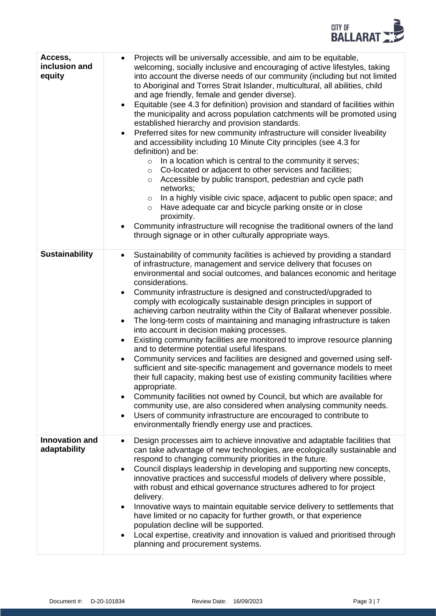

| Access,<br>inclusion and<br>equity    | Projects will be universally accessible, and aim to be equitable,<br>$\bullet$<br>welcoming, socially inclusive and encouraging of active lifestyles, taking<br>into account the diverse needs of our community (including but not limited<br>to Aboriginal and Torres Strait Islander, multicultural, all abilities, child<br>and age friendly, female and gender diverse).<br>Equitable (see 4.3 for definition) provision and standard of facilities within<br>$\bullet$<br>the municipality and across population catchments will be promoted using<br>established hierarchy and provision standards.<br>Preferred sites for new community infrastructure will consider liveability<br>$\bullet$<br>and accessibility including 10 Minute City principles (see 4.3 for<br>definition) and be:<br>$\circ$ In a location which is central to the community it serves;<br>Co-located or adjacent to other services and facilities;<br>$\circ$<br>Accessible by public transport, pedestrian and cycle path<br>$\circ$<br>networks;<br>In a highly visible civic space, adjacent to public open space; and<br>$\circ$<br>Have adequate car and bicycle parking onsite or in close<br>$\circ$<br>proximity.<br>Community infrastructure will recognise the traditional owners of the land<br>$\bullet$<br>through signage or in other culturally appropriate ways. |
|---------------------------------------|-------------------------------------------------------------------------------------------------------------------------------------------------------------------------------------------------------------------------------------------------------------------------------------------------------------------------------------------------------------------------------------------------------------------------------------------------------------------------------------------------------------------------------------------------------------------------------------------------------------------------------------------------------------------------------------------------------------------------------------------------------------------------------------------------------------------------------------------------------------------------------------------------------------------------------------------------------------------------------------------------------------------------------------------------------------------------------------------------------------------------------------------------------------------------------------------------------------------------------------------------------------------------------------------------------------------------------------------------------------------|
| <b>Sustainability</b>                 | Sustainability of community facilities is achieved by providing a standard<br>$\bullet$<br>of infrastructure, management and service delivery that focuses on<br>environmental and social outcomes, and balances economic and heritage<br>considerations.<br>Community infrastructure is designed and constructed/upgraded to<br>$\bullet$<br>comply with ecologically sustainable design principles in support of<br>achieving carbon neutrality within the City of Ballarat whenever possible.<br>The long-term costs of maintaining and managing infrastructure is taken<br>$\bullet$<br>into account in decision making processes.<br>Existing community facilities are monitored to improve resource planning<br>$\bullet$<br>and to determine potential useful lifespans.<br>Community services and facilities are designed and governed using self-<br>$\bullet$<br>sufficient and site-specific management and governance models to meet<br>their full capacity, making best use of existing community facilities where<br>appropriate.<br>Community facilities not owned by Council, but which are available for<br>$\bullet$<br>community use, are also considered when analysing community needs.<br>Users of community infrastructure are encouraged to contribute to<br>$\bullet$<br>environmentally friendly energy use and practices.              |
| <b>Innovation and</b><br>adaptability | Design processes aim to achieve innovative and adaptable facilities that<br>$\bullet$<br>can take advantage of new technologies, are ecologically sustainable and<br>respond to changing community priorities in the future.<br>Council displays leadership in developing and supporting new concepts,<br>$\bullet$<br>innovative practices and successful models of delivery where possible,<br>with robust and ethical governance structures adhered to for project<br>delivery.<br>Innovative ways to maintain equitable service delivery to settlements that<br>$\bullet$<br>have limited or no capacity for further growth, or that experience<br>population decline will be supported.<br>Local expertise, creativity and innovation is valued and prioritised through<br>$\bullet$<br>planning and procurement systems.                                                                                                                                                                                                                                                                                                                                                                                                                                                                                                                                    |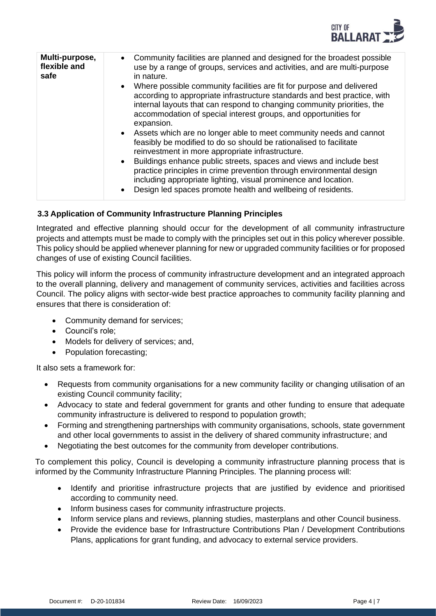

| Multi-purpose,<br>flexible and<br>safe | • Community facilities are planned and designed for the broadest possible<br>use by a range of groups, services and activities, and are multi-purpose<br>in nature.                                                                                                                                              |
|----------------------------------------|------------------------------------------------------------------------------------------------------------------------------------------------------------------------------------------------------------------------------------------------------------------------------------------------------------------|
|                                        | • Where possible community facilities are fit for purpose and delivered<br>according to appropriate infrastructure standards and best practice, with<br>internal layouts that can respond to changing community priorities, the<br>accommodation of special interest groups, and opportunities for<br>expansion. |
|                                        | • Assets which are no longer able to meet community needs and cannot<br>feasibly be modified to do so should be rationalised to facilitate<br>reinvestment in more appropriate infrastructure.<br>• Buildings enhance public streets, spaces and views and include best                                          |
|                                        | practice principles in crime prevention through environmental design<br>including appropriate lighting, visual prominence and location.<br>Design led spaces promote health and wellbeing of residents.<br>$\bullet$                                                                                             |

# **3.3 Application of Community Infrastructure Planning Principles**

Integrated and effective planning should occur for the development of all community infrastructure projects and attempts must be made to comply with the principles set out in this policy wherever possible. This policy should be applied whenever planning for new or upgraded community facilities or for proposed changes of use of existing Council facilities.

This policy will inform the process of community infrastructure development and an integrated approach to the overall planning, delivery and management of community services, activities and facilities across Council. The policy aligns with sector-wide best practice approaches to community facility planning and ensures that there is consideration of:

- Community demand for services;
- Council's role;
- Models for delivery of services; and,
- Population forecasting;

It also sets a framework for:

- Requests from community organisations for a new community facility or changing utilisation of an existing Council community facility;
- Advocacy to state and federal government for grants and other funding to ensure that adequate community infrastructure is delivered to respond to population growth;
- Forming and strengthening partnerships with community organisations, schools, state government and other local governments to assist in the delivery of shared community infrastructure; and
- Negotiating the best outcomes for the community from developer contributions.

To complement this policy, Council is developing a community infrastructure planning process that is informed by the Community Infrastructure Planning Principles. The planning process will:

- Identify and prioritise infrastructure projects that are justified by evidence and prioritised according to community need.
- Inform business cases for community infrastructure projects.
- Inform service plans and reviews, planning studies, masterplans and other Council business.
- Provide the evidence base for Infrastructure Contributions Plan / Development Contributions Plans, applications for grant funding, and advocacy to external service providers.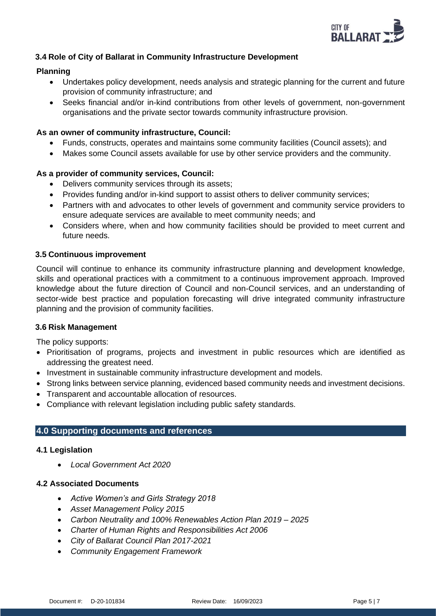

# **3.4 Role of City of Ballarat in Community Infrastructure Development**

## **Planning**

- Undertakes policy development, needs analysis and strategic planning for the current and future provision of community infrastructure; and
- Seeks financial and/or in-kind contributions from other levels of government, non-government organisations and the private sector towards community infrastructure provision.

## **As an owner of community infrastructure, Council:**

- Funds, constructs, operates and maintains some community facilities (Council assets); and
- Makes some Council assets available for use by other service providers and the community.

## **As a provider of community services, Council:**

- Delivers community services through its assets:
- Provides funding and/or in-kind support to assist others to deliver community services;
- Partners with and advocates to other levels of government and community service providers to ensure adequate services are available to meet community needs; and
- Considers where, when and how community facilities should be provided to meet current and future needs.

## **3.5 Continuous improvement**

Council will continue to enhance its community infrastructure planning and development knowledge, skills and operational practices with a commitment to a continuous improvement approach. Improved knowledge about the future direction of Council and non-Council services, and an understanding of sector-wide best practice and population forecasting will drive integrated community infrastructure planning and the provision of community facilities.

#### **3.6 Risk Management**

The policy supports:

- Prioritisation of programs, projects and investment in public resources which are identified as addressing the greatest need.
- Investment in sustainable community infrastructure development and models.
- Strong links between service planning, evidenced based community needs and investment decisions.
- Transparent and accountable allocation of resources.
- Compliance with relevant legislation including public safety standards.

#### **4.0 Supporting documents and references**

#### **4.1 Legislation**

• *Local Government Act 2020*

#### **4.2 Associated Documents**

- *Active Women's and Girls Strategy 2018*
- *Asset Management Policy 2015*
- *Carbon Neutrality and 100% Renewables Action Plan 2019 – 2025*
- *Charter of Human Rights and Responsibilities Act 2006*
- *City of Ballarat Council Plan 2017-2021*
- *Community Engagement Framework*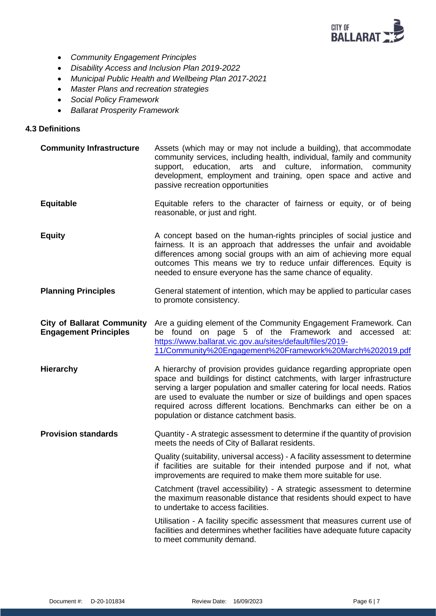

- *Community Engagement Principles*
- *Disability Access and Inclusion Plan 2019-2022*
- *Municipal Public Health and Wellbeing Plan 2017-2021*
- *Master Plans and recreation strategies*
- *Social Policy Framework*
- *Ballarat Prosperity Framework*

#### **4.3 Definitions**

**Community Infrastructure** Assets (which may or may not include a building), that accommodate community services, including health, individual, family and community support, education, arts and culture, information, community development, employment and training, open space and active and passive recreation opportunities **Equitable** Equitable refers to the character of fairness or equity, or of being reasonable, or just and right. **Equity A** concept based on the human-rights principles of social justice and fairness. It is an approach that addresses the unfair and avoidable differences among social groups with an aim of achieving more equal outcomes This means we try to reduce unfair differences. Equity is needed to ensure everyone has the same chance of equality. **Planning Principles** General statement of intention, which may be applied to particular cases to promote consistency. **City of Ballarat Community Engagement Principles** Are a guiding element of the Community Engagement Framework. [Ca](https://www.ballarat.vic.gov.au/sites/default/files/2019-11/Community%20Engagement%20Framework%20March%202019.pdf)n be found on page 5 of the Framework and accessed at: [https://www.ballarat.vic.gov.au/sites/default/files/2019-](https://www.ballarat.vic.gov.au/sites/default/files/2019-11/Community%20Engagement%20Framework%20March%202019.pdf) [11/Community%20Engagement%20Framework%20March%202019.pdf](https://www.ballarat.vic.gov.au/sites/default/files/2019-11/Community%20Engagement%20Framework%20March%202019.pdf) **Hierarchy A** hierarchy of provision provides guidance regarding appropriate open space and buildings for distinct catchments, with larger infrastructure serving a larger population and smaller catering for local needs. Ratios are used to evaluate the number or size of buildings and open spaces required across different locations. Benchmarks can either be on a population or distance catchment basis. **Provision standards** Quantity - A strategic assessment to determine if the quantity of provision meets the needs of City of Ballarat residents. Quality (suitability, universal access) - A facility assessment to determine if facilities are suitable for their intended purpose and if not, what improvements are required to make them more suitable for use. Catchment (travel accessibility) - A strategic assessment to determine the maximum reasonable distance that residents should expect to have to undertake to access facilities. Utilisation - A facility specific assessment that measures current use of facilities and determines whether facilities have adequate future capacity to meet community demand.